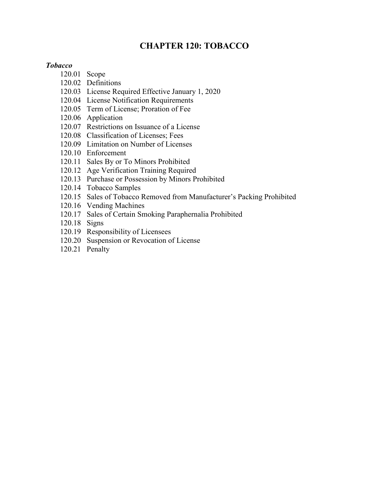# **CHAPTER 120: TOBACCO**

#### *Tobacco*

- 120.01 Scope
- 120.02 Definitions
- 120.03 License Required Effective January 1, 2020
- 120.04 License Notification Requirements
- 120.05 Term of License; Proration of Fee
- 120.06 Application
- 120.07 Restrictions on Issuance of a License
- 120.08 Classification of Licenses; Fees
- 120.09 Limitation on Number of Licenses
- 120.10 Enforcement
- 120.11 Sales By or To Minors Prohibited
- 120.12 Age Verification Training Required
- 120.13 Purchase or Possession by Minors Prohibited
- 120.14 Tobacco Samples
- 120.15 Sales of Tobacco Removed from Manufacturer's Packing Prohibited
- 120.16 Vending Machines
- 120.17 Sales of Certain Smoking Paraphernalia Prohibited
- 120.18 Signs
- 120.19 Responsibility of Licensees
- 120.20 Suspension or Revocation of License
- 120.21 Penalty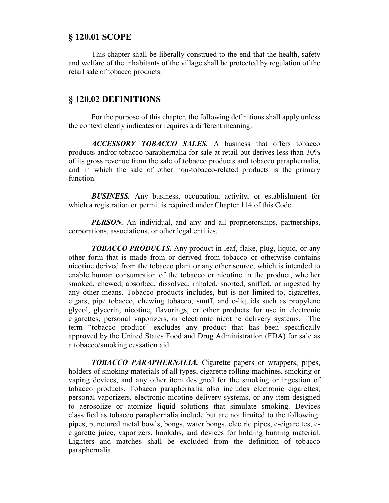#### **§ 120.01 SCOPE**

This chapter shall be liberally construed to the end that the health, safety and welfare of the inhabitants of the village shall be protected by regulation of the retail sale of tobacco products.

### **§ 120.02 DEFINITIONS**

For the purpose of this chapter, the following definitions shall apply unless the context clearly indicates or requires a different meaning.

*ACCESSORY TOBACCO SALES.* A business that offers tobacco products and/or tobacco paraphernalia for sale at retail but derives less than 30% of its gross revenue from the sale of tobacco products and tobacco paraphernalia, and in which the sale of other non-tobacco-related products is the primary function.

*BUSINESS.* Any business, occupation, activity, or establishment for which a registration or permit is required under Chapter 114 of this Code.

*PERSON*. An individual, and any and all proprietorships, partnerships, corporations, associations, or other legal entities.

*TOBACCO PRODUCTS.* Any product in leaf, flake, plug, liquid, or any other form that is made from or derived from tobacco or otherwise contains nicotine derived from the tobacco plant or any other source, which is intended to enable human consumption of the tobacco or nicotine in the product, whether smoked, chewed, absorbed, dissolved, inhaled, snorted, sniffed, or ingested by any other means. Tobacco products includes, but is not limited to, cigarettes, cigars, pipe tobacco, chewing tobacco, snuff, and e-liquids such as propylene glycol, glycerin, nicotine, flavorings, or other products for use in electronic cigarettes, personal vaporizers, or electronic nicotine delivery systems. The term "tobacco product" excludes any product that has been specifically approved by the United States Food and Drug Administration (FDA) for sale as a tobacco/smoking cessation aid.

*TOBACCO PARAPHERNALIA.* Cigarette papers or wrappers, pipes, holders of smoking materials of all types, cigarette rolling machines, smoking or vaping devices, and any other item designed for the smoking or ingestion of tobacco products. Tobacco paraphernalia also includes electronic cigarettes, personal vaporizers, electronic nicotine delivery systems, or any item designed to aerosolize or atomize liquid solutions that simulate smoking. Devices classified as tobacco paraphernalia include but are not limited to the following: pipes, punctured metal bowls, bongs, water bongs, electric pipes, e-cigarettes, ecigarette juice, vaporizers, hookahs, and devices for holding burning material. Lighters and matches shall be excluded from the definition of tobacco paraphernalia.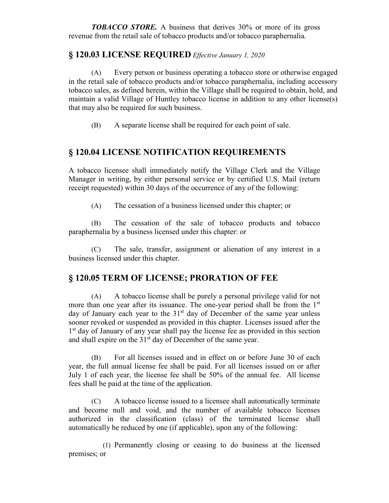*TOBACCO STORE.* A business that derives 30% or more of its gross revenue from the retail sale of tobacco products and/or tobacco paraphernalia.

#### **§ 120.03 LICENSE REQUIRED** *Effective January 1, 2020*

(A) Every person or business operating a tobacco store or otherwise engaged in the retail sale of tobacco products and/or tobacco paraphernalia, including accessory tobacco sales, as defined herein, within the Village shall be required to obtain, hold, and maintain a valid Village of Huntley tobacco license in addition to any other license(s) that may also be required for such business.

(B) A separate license shall be required for each point of sale.

### **§ 120.04 LICENSE NOTIFICATION REQUIREMENTS**

A tobacco licensee shall immediately notify the Village Clerk and the Village Manager in writing, by either personal service or by certified U.S. Mail (return receipt requested) within 30 days of the occurrence of any of the following:

(A) The cessation of a business licensed under this chapter; or

(B) The cessation of the sale of tobacco products and tobacco paraphernalia by a business licensed under this chapter: or

(C) The sale, transfer, assignment or alienation of any interest in a business licensed under this chapter.

#### **§ 120.05 TERM OF LICENSE; PRORATION OF FEE**

(A) A tobacco license shall be purely a personal privilege valid for not more than one year after its issuance. The one-year period shall be from the  $1<sup>st</sup>$ day of January each year to the  $31<sup>st</sup>$  day of December of the same year unless sooner revoked or suspended as provided in this chapter. Licenses issued after the 1<sup>st</sup> day of January of any year shall pay the license fee as provided in this section and shall expire on the  $31<sup>st</sup>$  day of December of the same year.

(B) For all licenses issued and in effect on or before June 30 of each year, the full annual license fee shall be paid. For all licenses issued on or after July 1 of each year, the license fee shall be 50% of the annual fee. All license fees shall be paid at the time of the application.

(C) A tobacco license issued to a licensee shall automatically terminate and become null and void, and the number of available tobacco licenses authorized in the classification (class) of the terminated license shall automatically be reduced by one (if applicable), upon any of the following:

(1) Permanently closing or ceasing to do business at the licensed premises; or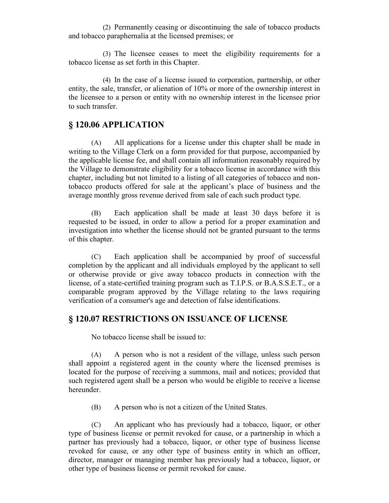(2) Permanently ceasing or discontinuing the sale of tobacco products and tobacco paraphernalia at the licensed premises; or

(3) The licensee ceases to meet the eligibility requirements for a tobacco license as set forth in this Chapter.

(4) In the case of a license issued to corporation, partnership, or other entity, the sale, transfer, or alienation of 10% or more of the ownership interest in the licensee to a person or entity with no ownership interest in the licensee prior to such transfer.

#### **§ 120.06 APPLICATION**

(A) All applications for a license under this chapter shall be made in writing to the Village Clerk on a form provided for that purpose, accompanied by the applicable license fee, and shall contain all information reasonably required by the Village to demonstrate eligibility for a tobacco license in accordance with this chapter, including but not limited to a listing of all categories of tobacco and nontobacco products offered for sale at the applicant's place of business and the average monthly gross revenue derived from sale of each such product type.

(B) Each application shall be made at least 30 days before it is requested to be issued, in order to allow a period for a proper examination and investigation into whether the license should not be granted pursuant to the terms of this chapter.

(C) Each application shall be accompanied by proof of successful completion by the applicant and all individuals employed by the applicant to sell or otherwise provide or give away tobacco products in connection with the license, of a state-certified training program such as T.I.P.S. or B.A.S.S.E.T., or a comparable program approved by the Village relating to the laws requiring verification of a consumer's age and detection of false identifications.

## **§ 120.07 RESTRICTIONS ON ISSUANCE OF LICENSE**

No tobacco license shall be issued to:

(A) A person who is not a resident of the village, unless such person shall appoint a registered agent in the county where the licensed premises is located for the purpose of receiving a summons, mail and notices; provided that such registered agent shall be a person who would be eligible to receive a license hereunder.

(B) A person who is not a citizen of the United States.

(C) An applicant who has previously had a tobacco, liquor, or other type of business license or permit revoked for cause, or a partnership in which a partner has previously had a tobacco, liquor, or other type of business license revoked for cause, or any other type of business entity in which an officer, director, manager or managing member has previously had a tobacco, liquor, or other type of business license or permit revoked for cause.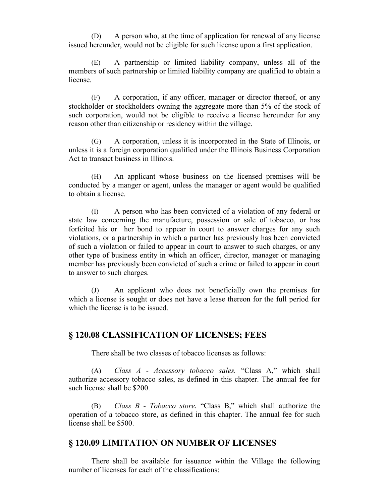(D) A person who, at the time of application for renewal of any license issued hereunder, would not be eligible for such license upon a first application.

(E) A partnership or limited liability company, unless all of the members of such partnership or limited liability company are qualified to obtain a license.

(F) A corporation, if any officer, manager or director thereof, or any stockholder or stockholders owning the aggregate more than 5% of the stock of such corporation, would not be eligible to receive a license hereunder for any reason other than citizenship or residency within the village.

(G) A corporation, unless it is incorporated in the State of Illinois, or unless it is a foreign corporation qualified under the Illinois Business Corporation Act to transact business in Illinois.

(H) An applicant whose business on the licensed premises will be conducted by a manger or agent, unless the manager or agent would be qualified to obtain a license.

(I) A person who has been convicted of a violation of any federal or state law concerning the manufacture, possession or sale of tobacco, or has forfeited his or her bond to appear in court to answer charges for any such violations, or a partnership in which a partner has previously has been convicted of such a violation or failed to appear in court to answer to such charges, or any other type of business entity in which an officer, director, manager or managing member has previously been convicted of such a crime or failed to appear in court to answer to such charges.

(J) An applicant who does not beneficially own the premises for which a license is sought or does not have a lease thereon for the full period for which the license is to be issued.

### **§ 120.08 CLASSIFICATION OF LICENSES; FEES**

There shall be two classes of tobacco licenses as follows:

(A) *Class A - Accessory tobacco sales.* "Class A," which shall authorize accessory tobacco sales, as defined in this chapter. The annual fee for such license shall be \$200.

(B) *Class B - Tobacco store.* "Class B," which shall authorize the operation of a tobacco store, as defined in this chapter. The annual fee for such license shall be \$500.

### **§ 120.09 LIMITATION ON NUMBER OF LICENSES**

There shall be available for issuance within the Village the following number of licenses for each of the classifications: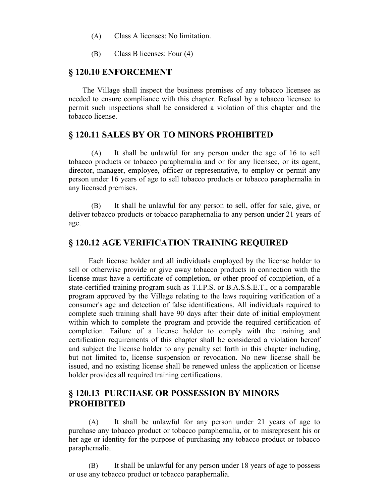- (A) Class A licenses: No limitation.
- (B) Class B licenses: Four (4)

#### **§ 120.10 ENFORCEMENT**

The Village shall inspect the business premises of any tobacco licensee as needed to ensure compliance with this chapter. Refusal by a tobacco licensee to permit such inspections shall be considered a violation of this chapter and the tobacco license.

#### **§ 120.11 SALES BY OR TO MINORS PROHIBITED**

(A) It shall be unlawful for any person under the age of 16 to sell tobacco products or tobacco paraphernalia and or for any licensee, or its agent, director, manager, employee, officer or representative, to employ or permit any person under 16 years of age to sell tobacco products or tobacco paraphernalia in any licensed premises.

(B) It shall be unlawful for any person to sell, offer for sale, give, or deliver tobacco products or tobacco paraphernalia to any person under 21 years of age.

#### **§ 120.12 AGE VERIFICATION TRAINING REQUIRED**

Each license holder and all individuals employed by the license holder to sell or otherwise provide or give away tobacco products in connection with the license must have a certificate of completion, or other proof of completion, of a state-certified training program such as T.I.P.S. or B.A.S.S.E.T., or a comparable program approved by the Village relating to the laws requiring verification of a consumer's age and detection of false identifications. All individuals required to complete such training shall have 90 days after their date of initial employment within which to complete the program and provide the required certification of completion. Failure of a license holder to comply with the training and certification requirements of this chapter shall be considered a violation hereof and subject the license holder to any penalty set forth in this chapter including, but not limited to, license suspension or revocation. No new license shall be issued, and no existing license shall be renewed unless the application or license holder provides all required training certifications.

#### **§ 120.13 PURCHASE OR POSSESSION BY MINORS PROHIBITED**

(A) It shall be unlawful for any person under 21 years of age to purchase any tobacco product or tobacco paraphernalia, or to misrepresent his or her age or identity for the purpose of purchasing any tobacco product or tobacco paraphernalia.

(B) It shall be unlawful for any person under 18 years of age to possess or use any tobacco product or tobacco paraphernalia.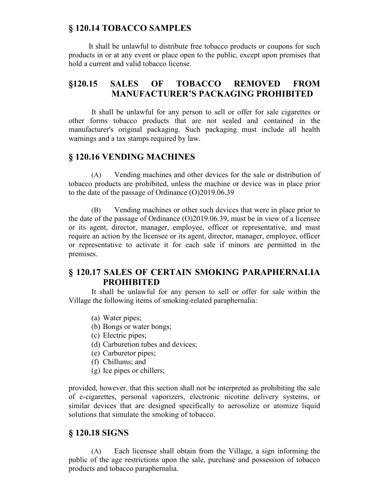### **§ 120.14 TOBACCO SAMPLES**

It shall be unlawful to distribute free tobacco products or coupons for such products in or at any event or place open to the public, except upon premises that hold a current and valid tobacco license.

## **§120.15 SALES OF TOBACCO REMOVED FROM MANUFACTURER'S PACKAGING PROHIBITED**

It shall be unlawful for any person to sell or offer for sale cigarettes or other forms tobacco products that are not sealed and contained in the manufacturer's original packaging. Such packaging must include all health warnings and a tax stamps required by law.

### **§ 120.16 VENDING MACHINES**

(A) Vending machines and other devices for the sale or distribution of tobacco products are prohibited, unless the machine or device was in place prior to the date of the passage of Ordinance (O)2019.06.39

(B) Vending machines or other such devices that were in place prior to the date of the passage of Ordinance (O)2019.06.39, must be in view of a licensee or its agent, director, manager, employee, officer or representative, and must require an action by the licensee or its agent, director, manager, employee, officer or representative to activate it for each sale if minors are permitted in the premises.

## **§ 120.17 SALES OF CERTAIN SMOKING PARAPHERNALIA PROHIBITED**

It shall be unlawful for any person to sell or offer for sale within the Village the following items of smoking-related paraphernalia:

- (a) Water pipes;
- (b) Bongs or water bongs;
- (c) Electric pipes;
- (d) Carburetion tubes and devices;
- (e) Carburetor pipes;
- (f) Chillums; and
- (g) Ice pipes or chillers;

provided, however, that this section shall not be interpreted as prohibiting the sale of e-cigarettes, personal vaporizers, electronic nicotine delivery systems, or similar devices that are designed specifically to aerosolize or atomize liquid solutions that simulate the smoking of tobacco.

#### **§ 120.18 SIGNS**

(A) Each licensee shall obtain from the Village, a sign informing the public of the age restrictions upon the sale, purchase and possession of tobacco products and tobacco paraphernalia.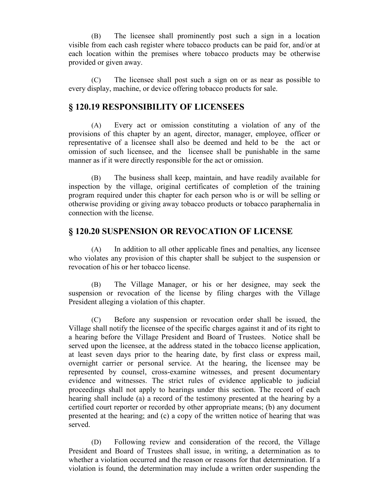(B) The licensee shall prominently post such a sign in a location visible from each cash register where tobacco products can be paid for, and/or at each location within the premises where tobacco products may be otherwise provided or given away.

(C) The licensee shall post such a sign on or as near as possible to every display, machine, or device offering tobacco products for sale.

#### **§ 120.19 RESPONSIBILITY OF LICENSEES**

(A) Every act or omission constituting a violation of any of the provisions of this chapter by an agent, director, manager, employee, officer or representative of a licensee shall also be deemed and held to be the act or omission of such licensee, and the licensee shall be punishable in the same manner as if it were directly responsible for the act or omission.

(B) The business shall keep, maintain, and have readily available for inspection by the village, original certificates of completion of the training program required under this chapter for each person who is or will be selling or otherwise providing or giving away tobacco products or tobacco paraphernalia in connection with the license.

### **§ 120.20 SUSPENSION OR REVOCATION OF LICENSE**

(A) In addition to all other applicable fines and penalties, any licensee who violates any provision of this chapter shall be subject to the suspension or revocation of his or her tobacco license.

(B) The Village Manager, or his or her designee, may seek the suspension or revocation of the license by filing charges with the Village President alleging a violation of this chapter.

(C) Before any suspension or revocation order shall be issued, the Village shall notify the licensee of the specific charges against it and of its right to a hearing before the Village President and Board of Trustees. Notice shall be served upon the licensee, at the address stated in the tobacco license application, at least seven days prior to the hearing date, by first class or express mail, overnight carrier or personal service. At the hearing, the licensee may be represented by counsel, cross-examine witnesses, and present documentary evidence and witnesses. The strict rules of evidence applicable to judicial proceedings shall not apply to hearings under this section. The record of each hearing shall include (a) a record of the testimony presented at the hearing by a certified court reporter or recorded by other appropriate means; (b) any document presented at the hearing; and (c) a copy of the written notice of hearing that was served.

(D) Following review and consideration of the record, the Village President and Board of Trustees shall issue, in writing, a determination as to whether a violation occurred and the reason or reasons for that determination. If a violation is found, the determination may include a written order suspending the